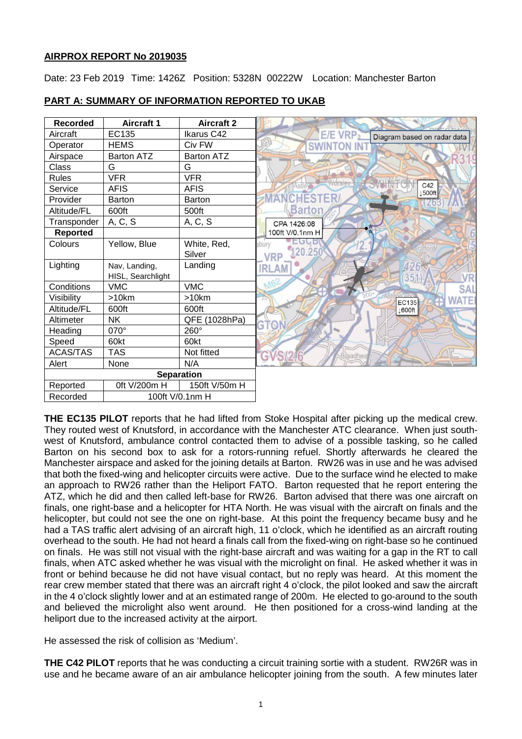# **AIRPROX REPORT No 2019035**

Date: 23 Feb 2019 Time: 1426Z Position: 5328N 00222W Location: Manchester Barton

| <b>Recorded</b>             | <b>Aircraft 1</b> | <b>Aircraft 2</b> |                                                     |
|-----------------------------|-------------------|-------------------|-----------------------------------------------------|
| Aircraft                    | EC135             | Ikarus C42        | E/E VRP <sub>R</sub><br>Diagram based on radar data |
| Operator                    | <b>HEMS</b>       | Civ FW            |                                                     |
| Airspace                    | <b>Barton ATZ</b> | <b>Barton ATZ</b> |                                                     |
| Class                       | G                 | G                 |                                                     |
| <b>Rules</b>                | <b>VFR</b>        | <b>VFR</b>        |                                                     |
| Service                     | AFIS              | <b>AFIS</b>       | C42<br>Asti<br>1500ft                               |
| Provider                    | <b>Barton</b>     | <b>Barton</b>     | CHESTER                                             |
| Altitude/FL                 | 600ft             | 500ft             | <b>Barton</b>                                       |
| Transponder                 | A, C, S           | A, C, S           | CPA 1426:08                                         |
| Reported                    |                   |                   | 100ft V/0.1nm H                                     |
| Colours                     | Yellow, Blue      | White, Red,       | ebury                                               |
|                             |                   | Silver            | 120.250<br><b>VRP</b>                               |
| Lighting                    | Nav, Landing,     | Landing           | 426<br><b>IRLAM</b>                                 |
|                             | HISL, Searchlight |                   | 351                                                 |
| Conditions                  | <b>VMC</b>        | <b>VMC</b>        | MG'<br><b>SAL</b>                                   |
| Visibility                  | >10km             | >10km             | n ling<br><b>WATEI</b><br>EC135                     |
| Altitude/FL                 | 600ft             | 600ft             | ↓600ft                                              |
| Altimeter                   | <b>NK</b>         | QFE (1028hPa)     |                                                     |
| Heading                     | 070°              | 260°              |                                                     |
| Speed                       | 60kt              | 60kt              |                                                     |
| <b>ACAS/TAS</b>             | <b>TAS</b>        | Not fitted        | G<br>cadhea                                         |
| Alert                       | None              | N/A               |                                                     |
| <b>Separation</b>           |                   |                   |                                                     |
| Reported                    | 0ft V/200m H      | 150ft V/50m H     |                                                     |
| Recorded<br>100ft V/0.1nm H |                   |                   |                                                     |

# **PART A: SUMMARY OF INFORMATION REPORTED TO UKAB**

**THE EC135 PILOT** reports that he had lifted from Stoke Hospital after picking up the medical crew. They routed west of Knutsford, in accordance with the Manchester ATC clearance. When just southwest of Knutsford, ambulance control contacted them to advise of a possible tasking, so he called Barton on his second box to ask for a rotors-running refuel. Shortly afterwards he cleared the Manchester airspace and asked for the joining details at Barton. RW26 was in use and he was advised that both the fixed-wing and helicopter circuits were active. Due to the surface wind he elected to make an approach to RW26 rather than the Heliport FATO. Barton requested that he report entering the ATZ, which he did and then called left-base for RW26. Barton advised that there was one aircraft on finals, one right-base and a helicopter for HTA North. He was visual with the aircraft on finals and the helicopter, but could not see the one on right-base. At this point the frequency became busy and he had a TAS traffic alert advising of an aircraft high, 11 o'clock, which he identified as an aircraft routing overhead to the south. He had not heard a finals call from the fixed-wing on right-base so he continued on finals. He was still not visual with the right-base aircraft and was waiting for a gap in the RT to call finals, when ATC asked whether he was visual with the microlight on final. He asked whether it was in front or behind because he did not have visual contact, but no reply was heard. At this moment the rear crew member stated that there was an aircraft right 4 o'clock, the pilot looked and saw the aircraft in the 4 o'clock slightly lower and at an estimated range of 200m. He elected to go-around to the south and believed the microlight also went around. He then positioned for a cross-wind landing at the heliport due to the increased activity at the airport.

He assessed the risk of collision as 'Medium'.

**THE C42 PILOT** reports that he was conducting a circuit training sortie with a student. RW26R was in use and he became aware of an air ambulance helicopter joining from the south. A few minutes later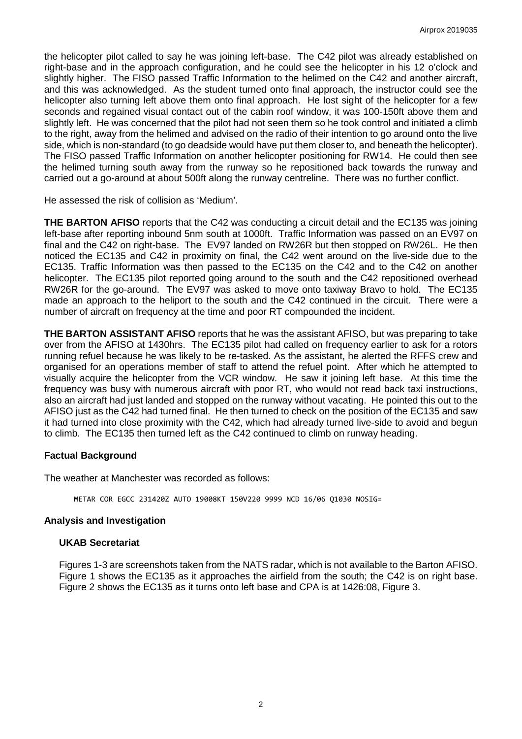the helicopter pilot called to say he was joining left-base. The C42 pilot was already established on right-base and in the approach configuration, and he could see the helicopter in his 12 o'clock and slightly higher. The FISO passed Traffic Information to the helimed on the C42 and another aircraft, and this was acknowledged. As the student turned onto final approach, the instructor could see the helicopter also turning left above them onto final approach. He lost sight of the helicopter for a few seconds and regained visual contact out of the cabin roof window, it was 100-150ft above them and slightly left. He was concerned that the pilot had not seen them so he took control and initiated a climb to the right, away from the helimed and advised on the radio of their intention to go around onto the live side, which is non-standard (to go deadside would have put them closer to, and beneath the helicopter). The FISO passed Traffic Information on another helicopter positioning for RW14. He could then see the helimed turning south away from the runway so he repositioned back towards the runway and carried out a go-around at about 500ft along the runway centreline. There was no further conflict.

He assessed the risk of collision as 'Medium'.

**THE BARTON AFISO** reports that the C42 was conducting a circuit detail and the EC135 was joining left-base after reporting inbound 5nm south at 1000ft. Traffic Information was passed on an EV97 on final and the C42 on right-base. The EV97 landed on RW26R but then stopped on RW26L. He then noticed the EC135 and C42 in proximity on final, the C42 went around on the live-side due to the EC135. Traffic Information was then passed to the EC135 on the C42 and to the C42 on another helicopter. The EC135 pilot reported going around to the south and the C42 repositioned overhead RW26R for the go-around. The EV97 was asked to move onto taxiway Bravo to hold. The EC135 made an approach to the heliport to the south and the C42 continued in the circuit. There were a number of aircraft on frequency at the time and poor RT compounded the incident.

**THE BARTON ASSISTANT AFISO** reports that he was the assistant AFISO, but was preparing to take over from the AFISO at 1430hrs. The EC135 pilot had called on frequency earlier to ask for a rotors running refuel because he was likely to be re-tasked. As the assistant, he alerted the RFFS crew and organised for an operations member of staff to attend the refuel point. After which he attempted to visually acquire the helicopter from the VCR window. He saw it joining left base. At this time the frequency was busy with numerous aircraft with poor RT, who would not read back taxi instructions, also an aircraft had just landed and stopped on the runway without vacating. He pointed this out to the AFISO just as the C42 had turned final. He then turned to check on the position of the EC135 and saw it had turned into close proximity with the C42, which had already turned live-side to avoid and begun to climb. The EC135 then turned left as the C42 continued to climb on runway heading.

### **Factual Background**

The weather at Manchester was recorded as follows:

METAR COR EGCC 231420Z AUTO 19008KT 150V220 9999 NCD 16/06 Q1030 NOSIG=

### **Analysis and Investigation**

### **UKAB Secretariat**

Figures 1-3 are screenshots taken from the NATS radar, which is not available to the Barton AFISO. Figure 1 shows the EC135 as it approaches the airfield from the south; the C42 is on right base. Figure 2 shows the EC135 as it turns onto left base and CPA is at 1426:08, Figure 3.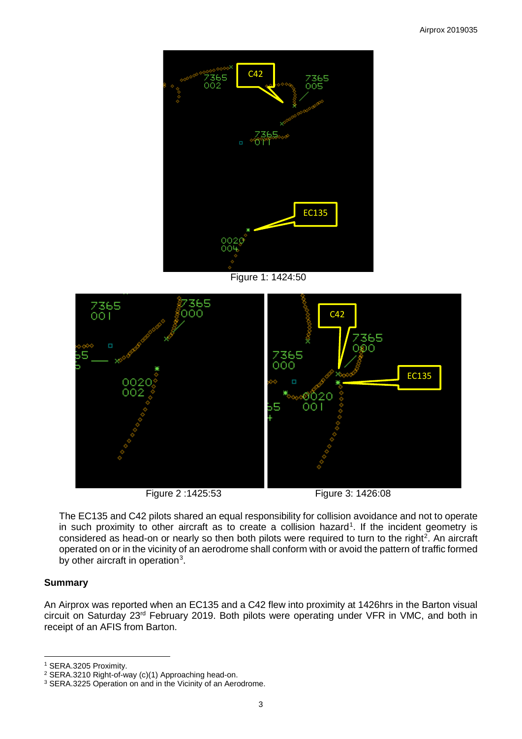

Figure 1: 1424:50





The EC135 and C42 pilots shared an equal responsibility for collision avoidance and not to operate in such proximity to other aircraft as to create a collision hazard<sup>[1](#page-2-0)</sup>. If the incident geometry is considered as head-on or nearly so then both pilots were required to turn to the right<sup>[2](#page-2-1)</sup>. An aircraft operated on or in the vicinity of an aerodrome shall conform with or avoid the pattern of traffic formed by other aircraft in operation<sup>[3](#page-2-2)</sup>.

# **Summary**

 $\overline{\phantom{a}}$ 

An Airprox was reported when an EC135 and a C42 flew into proximity at 1426hrs in the Barton visual circuit on Saturday 23rd February 2019. Both pilots were operating under VFR in VMC, and both in receipt of an AFIS from Barton.

<span id="page-2-0"></span><sup>&</sup>lt;sup>1</sup> SERA.3205 Proximity.<br><sup>2</sup> SERA.3210 Right-of-way (c)(1) Approaching head-on.

<span id="page-2-2"></span><span id="page-2-1"></span><sup>&</sup>lt;sup>3</sup> SERA.3225 Operation on and in the Vicinity of an Aerodrome.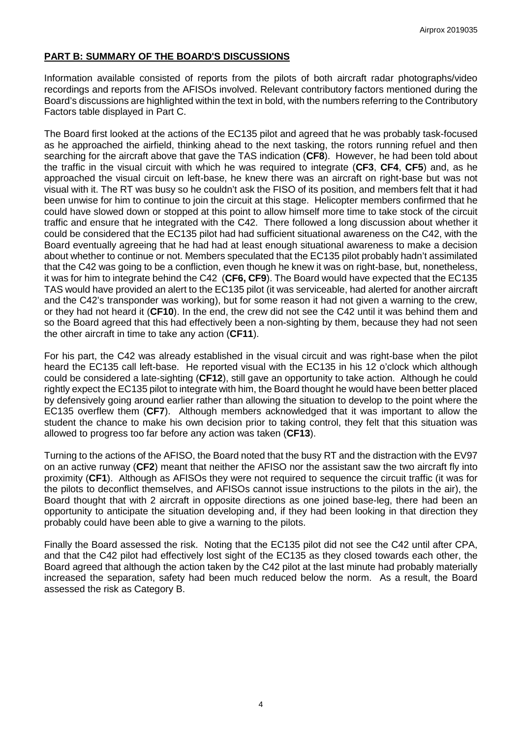# **PART B: SUMMARY OF THE BOARD'S DISCUSSIONS**

Information available consisted of reports from the pilots of both aircraft radar photographs/video recordings and reports from the AFISOs involved. Relevant contributory factors mentioned during the Board's discussions are highlighted within the text in bold, with the numbers referring to the Contributory Factors table displayed in Part C.

The Board first looked at the actions of the EC135 pilot and agreed that he was probably task-focused as he approached the airfield, thinking ahead to the next tasking, the rotors running refuel and then searching for the aircraft above that gave the TAS indication (**CF8**). However, he had been told about the traffic in the visual circuit with which he was required to integrate (**CF3**, **CF4**, **CF5**) and, as he approached the visual circuit on left-base, he knew there was an aircraft on right-base but was not visual with it. The RT was busy so he couldn't ask the FISO of its position, and members felt that it had been unwise for him to continue to join the circuit at this stage. Helicopter members confirmed that he could have slowed down or stopped at this point to allow himself more time to take stock of the circuit traffic and ensure that he integrated with the C42. There followed a long discussion about whether it could be considered that the EC135 pilot had had sufficient situational awareness on the C42, with the Board eventually agreeing that he had had at least enough situational awareness to make a decision about whether to continue or not. Members speculated that the EC135 pilot probably hadn't assimilated that the C42 was going to be a confliction, even though he knew it was on right-base, but, nonetheless, it was for him to integrate behind the C42 (**CF6, CF9**). The Board would have expected that the EC135 TAS would have provided an alert to the EC135 pilot (it was serviceable, had alerted for another aircraft and the C42's transponder was working), but for some reason it had not given a warning to the crew, or they had not heard it (**CF10**). In the end, the crew did not see the C42 until it was behind them and so the Board agreed that this had effectively been a non-sighting by them, because they had not seen the other aircraft in time to take any action (**CF11**).

For his part, the C42 was already established in the visual circuit and was right-base when the pilot heard the EC135 call left-base. He reported visual with the EC135 in his 12 o'clock which although could be considered a late-sighting (**CF12**), still gave an opportunity to take action. Although he could rightly expect the EC135 pilot to integrate with him, the Board thought he would have been better placed by defensively going around earlier rather than allowing the situation to develop to the point where the EC135 overflew them (**CF7**). Although members acknowledged that it was important to allow the student the chance to make his own decision prior to taking control, they felt that this situation was allowed to progress too far before any action was taken (**CF13**).

Turning to the actions of the AFISO, the Board noted that the busy RT and the distraction with the EV97 on an active runway (**CF2**) meant that neither the AFISO nor the assistant saw the two aircraft fly into proximity (**CF1**). Although as AFISOs they were not required to sequence the circuit traffic (it was for the pilots to deconflict themselves, and AFISOs cannot issue instructions to the pilots in the air), the Board thought that with 2 aircraft in opposite directions as one joined base-leg, there had been an opportunity to anticipate the situation developing and, if they had been looking in that direction they probably could have been able to give a warning to the pilots.

Finally the Board assessed the risk. Noting that the EC135 pilot did not see the C42 until after CPA, and that the C42 pilot had effectively lost sight of the EC135 as they closed towards each other, the Board agreed that although the action taken by the C42 pilot at the last minute had probably materially increased the separation, safety had been much reduced below the norm. As a result, the Board assessed the risk as Category B.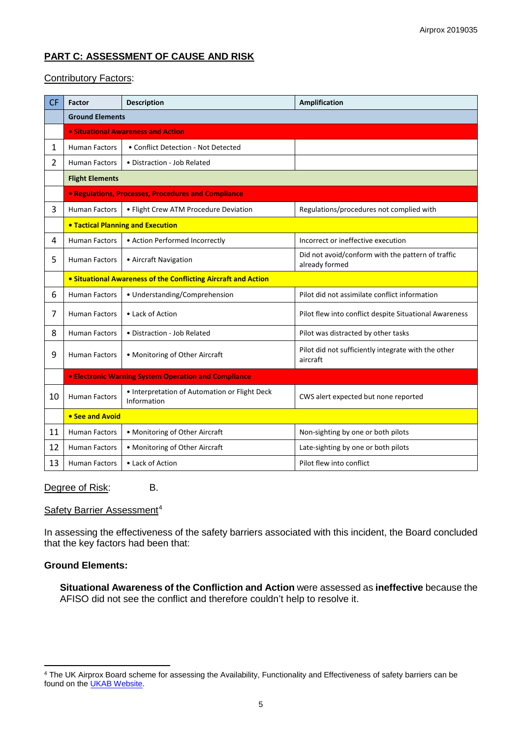# **PART C: ASSESSMENT OF CAUSE AND RISK**

# Contributory Factors:

| <b>CF</b>      | Factor                                                         | <b>Description</b>                                           | <b>Amplification</b>                                                |  |  |  |  |  |  |  |  |
|----------------|----------------------------------------------------------------|--------------------------------------------------------------|---------------------------------------------------------------------|--|--|--|--|--|--|--|--|
|                | <b>Ground Elements</b>                                         |                                                              |                                                                     |  |  |  |  |  |  |  |  |
|                | • Situational Awareness and Action                             |                                                              |                                                                     |  |  |  |  |  |  |  |  |
| $\mathbf{1}$   | <b>Human Factors</b>                                           | • Conflict Detection - Not Detected                          |                                                                     |  |  |  |  |  |  |  |  |
| $\overline{2}$ | <b>Human Factors</b>                                           | • Distraction - Job Related                                  |                                                                     |  |  |  |  |  |  |  |  |
|                | <b>Flight Elements</b>                                         |                                                              |                                                                     |  |  |  |  |  |  |  |  |
|                | <b>• Regulations, Processes, Procedures and Compliance</b>     |                                                              |                                                                     |  |  |  |  |  |  |  |  |
| 3              | <b>Human Factors</b>                                           | · Flight Crew ATM Procedure Deviation                        | Regulations/procedures not complied with                            |  |  |  |  |  |  |  |  |
|                | <b>. Tactical Planning and Execution</b>                       |                                                              |                                                                     |  |  |  |  |  |  |  |  |
| 4              | <b>Human Factors</b>                                           | • Action Performed Incorrectly                               | Incorrect or ineffective execution                                  |  |  |  |  |  |  |  |  |
| 5              | <b>Human Factors</b>                                           | • Aircraft Navigation                                        | Did not avoid/conform with the pattern of traffic<br>already formed |  |  |  |  |  |  |  |  |
|                | • Situational Awareness of the Conflicting Aircraft and Action |                                                              |                                                                     |  |  |  |  |  |  |  |  |
| 6              | Human Factors                                                  | · Understanding/Comprehension                                | Pilot did not assimilate conflict information                       |  |  |  |  |  |  |  |  |
| 7              | <b>Human Factors</b>                                           | • Lack of Action                                             | Pilot flew into conflict despite Situational Awareness              |  |  |  |  |  |  |  |  |
| 8              | Human Factors                                                  | • Distraction - Job Related                                  | Pilot was distracted by other tasks                                 |  |  |  |  |  |  |  |  |
| 9              | <b>Human Factors</b>                                           | • Monitoring of Other Aircraft                               | Pilot did not sufficiently integrate with the other<br>aircraft     |  |  |  |  |  |  |  |  |
|                | <b>• Electronic Warning System Operation and Compliance</b>    |                                                              |                                                                     |  |  |  |  |  |  |  |  |
| 10             | <b>Human Factors</b>                                           | • Interpretation of Automation or Flight Deck<br>Information | CWS alert expected but none reported                                |  |  |  |  |  |  |  |  |
|                | • See and Avoid                                                |                                                              |                                                                     |  |  |  |  |  |  |  |  |
| 11             | <b>Human Factors</b>                                           | • Monitoring of Other Aircraft                               | Non-sighting by one or both pilots                                  |  |  |  |  |  |  |  |  |
| 12             | <b>Human Factors</b><br>• Monitoring of Other Aircraft         |                                                              | Late-sighting by one or both pilots                                 |  |  |  |  |  |  |  |  |
| 13             | • Lack of Action<br><b>Human Factors</b>                       |                                                              | Pilot flew into conflict                                            |  |  |  |  |  |  |  |  |

### Degree of Risk: B.

# Safety Barrier Assessment<sup>[4](#page-4-0)</sup>

In assessing the effectiveness of the safety barriers associated with this incident, the Board concluded that the key factors had been that:

### **Ground Elements:**

l

**Situational Awareness of the Confliction and Action** were assessed as **ineffective** because the AFISO did not see the conflict and therefore couldn't help to resolve it.

<span id="page-4-0"></span><sup>&</sup>lt;sup>4</sup> The UK Airprox Board scheme for assessing the Availability, Functionality and Effectiveness of safety barriers can be found on the **UKAB Website**.